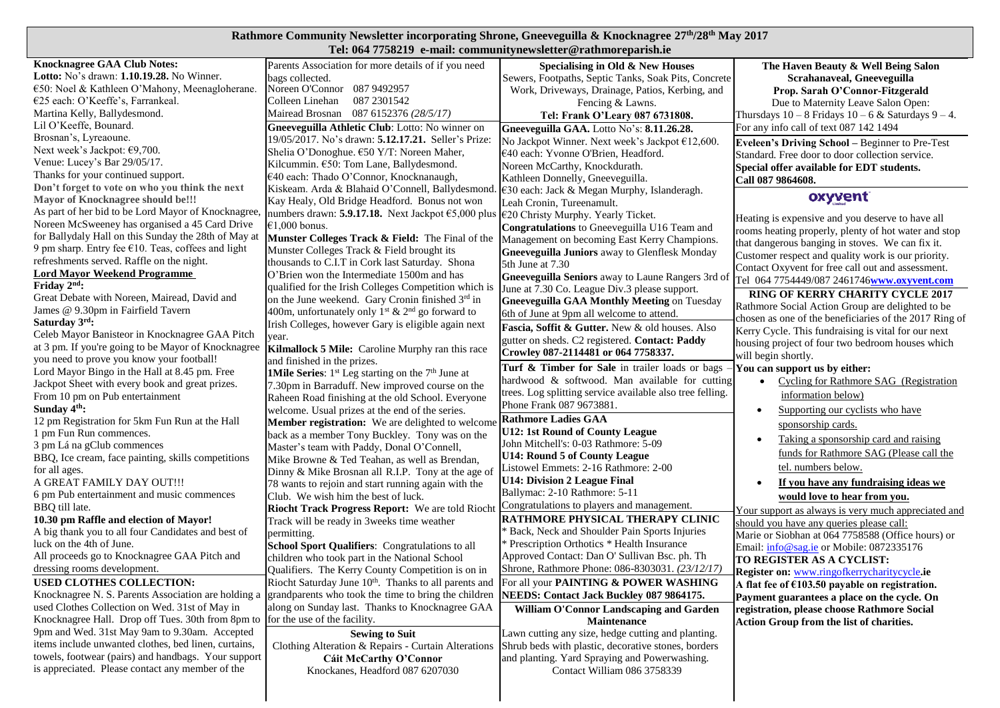## **Rathmore Community Newsletter incorporating Shrone, Gneeveguilla & Knocknagree 27 th/28 th May 2017**

| Tel: 064 7758219 e-mail: communitynewsletter@rathmoreparish.ie                 |                                                                                            |                                                                                                     |                                                           |  |  |  |  |
|--------------------------------------------------------------------------------|--------------------------------------------------------------------------------------------|-----------------------------------------------------------------------------------------------------|-----------------------------------------------------------|--|--|--|--|
| <b>Knocknagree GAA Club Notes:</b>                                             | Parents Association for more details of if you need                                        | Specialising in Old & New Houses                                                                    | The Haven Beauty & Well Being Salon                       |  |  |  |  |
| Lotto: No's drawn: 1.10.19.28. No Winner.                                      | bags collected.                                                                            | Sewers, Footpaths, Septic Tanks, Soak Pits, Concrete                                                | Scrahanaveal, Gneeveguilla                                |  |  |  |  |
| €50: Noel & Kathleen O'Mahony, Meenagloherane.                                 | Noreen O'Connor 087 9492957                                                                | Work, Driveways, Drainage, Patios, Kerbing, and                                                     | Prop. Sarah O'Connor-Fitzgerald                           |  |  |  |  |
| €25 each: O'Keeffe's, Farrankeal.                                              | 087 2301542<br>Colleen Linehan                                                             | Fencing & Lawns.                                                                                    | Due to Maternity Leave Salon Open:                        |  |  |  |  |
| Martina Kelly, Ballydesmond.                                                   | Mairead Brosnan 087 6152376 (28/5/17)                                                      | Tel: Frank O'Leary 087 6731808.                                                                     | Thursdays $10 - 8$ Fridays $10 - 6$ & Saturdays $9 - 4$ . |  |  |  |  |
| Lil O'Keeffe, Bounard.                                                         | Gneeveguilla Athletic Club: Lotto: No winner on                                            | Gneeveguilla GAA. Lotto No's: 8.11.26.28.                                                           | For any info call of text 087 142 1494                    |  |  |  |  |
| Brosnan's, Lyreaoune.                                                          | 19/05/2017. No's drawn: 5.12.17.21. Seller's Prize:                                        | No Jackpot Winner. Next week's Jackpot €12,600.                                                     | Eveleen's Driving School - Beginner to Pre-Test           |  |  |  |  |
| Next week's Jackpot: €9,700.                                                   | Shelia O'Donoghue. €50 Y/T: Noreen Maher,                                                  | €40 each: Yvonne O'Brien, Headford.                                                                 | Standard. Free door to door collection service.           |  |  |  |  |
| Venue: Lucey's Bar 29/05/17.                                                   | Kilcummin. €50: Tom Lane, Ballydesmond.                                                    | Noreen McCarthy, Knockdurath.                                                                       | Special offer available for EDT students.                 |  |  |  |  |
| Thanks for your continued support.                                             | €40 each: Thado O'Connor, Knocknanaugh,                                                    | Kathleen Donnelly, Gneeveguilla.                                                                    | Call 087 9864608.                                         |  |  |  |  |
| Don't forget to vote on who you think the next                                 | Kiskeam. Arda & Blahaid O'Connell, Ballydesmond                                            | €30 each: Jack & Megan Murphy, Islanderagh.                                                         |                                                           |  |  |  |  |
| <b>Mayor of Knocknagree should be!!!</b>                                       | Kay Healy, Old Bridge Headford. Bonus not won                                              | Leah Cronin, Tureenamult.                                                                           | oxyvent                                                   |  |  |  |  |
| As part of her bid to be Lord Mayor of Knocknagree                             | numbers drawn: 5.9.17.18. Next Jackpot $\epsilon$ 5,000 plus                               | €20 Christy Murphy. Yearly Ticket.                                                                  |                                                           |  |  |  |  |
| Noreen McSweeney has organised a 45 Card Drive                                 | €1,000 bonus.                                                                              | Congratulations to Gneeveguilla U16 Team and                                                        | Heating is expensive and you deserve to have all          |  |  |  |  |
| for Ballydaly Hall on this Sunday the 28th of May at                           | Munster Colleges Track & Field: The Final of the                                           | Management on becoming East Kerry Champions.                                                        | rooms heating properly, plenty of hot water and stop      |  |  |  |  |
| 9 pm sharp. Entry fee $€10$ . Teas, coffees and light                          | Munster Colleges Track & Field brought its                                                 | <b>Gneeveguilla Juniors</b> away to Glenflesk Monday                                                | that dangerous banging in stoves. We can fix it.          |  |  |  |  |
| refreshments served. Raffle on the night.                                      | thousands to C.I.T in Cork last Saturday. Shona                                            | 5th June at 7.30                                                                                    | Customer respect and quality work is our priority.        |  |  |  |  |
| <b>Lord Mayor Weekend Programme</b>                                            | O'Brien won the Intermediate 1500m and has                                                 | Gneeveguilla Seniors away to Laune Rangers 3rd of                                                   | Contact Oxyvent for free call out and assessment.         |  |  |  |  |
| Friday $2nd$ :                                                                 | qualified for the Irish Colleges Competition which is                                      |                                                                                                     | Tel 064 7754449/087 2461746www.oxyvent.com                |  |  |  |  |
| Great Debate with Noreen, Mairead, David and                                   | on the June weekend. Gary Cronin finished 3rd in                                           | June at 7.30 Co. League Div.3 please support.<br><b>Gneeveguilla GAA Monthly Meeting on Tuesday</b> | <b>RING OF KERRY CHARITY CYCLE 2017</b>                   |  |  |  |  |
| James @ 9.30pm in Fairfield Tavern                                             | 400m, unfortunately only $1^{st}$ & $2^{nd}$ go forward to                                 |                                                                                                     | Rathmore Social Action Group are delighted to be          |  |  |  |  |
| Saturday $3^{\text{rd}}$ :                                                     | Irish Colleges, however Gary is eligible again next                                        | 6th of June at 9pm all welcome to attend.                                                           | chosen as one of the beneficiaries of the 2017 Ring of    |  |  |  |  |
| Celeb Mayor Banisteor in Knocknagree GAA Pitch                                 | year.                                                                                      | Fascia, Soffit & Gutter. New & old houses. Also                                                     | Kerry Cycle. This fundraising is vital for our next       |  |  |  |  |
| at 3 pm. If you're going to be Mayor of Knocknagree                            | Kilmallock 5 Mile: Caroline Murphy ran this race                                           | gutter on sheds. C2 registered. Contact: Paddy                                                      | housing project of four two bedroom houses which          |  |  |  |  |
| you need to prove you know your football!                                      | and finished in the prizes.                                                                | Crowley 087-2114481 or 064 7758337.                                                                 | will begin shortly.                                       |  |  |  |  |
| Lord Mayor Bingo in the Hall at 8.45 pm. Free                                  | 1Mile Series: 1st Leg starting on the 7 <sup>th</sup> June at                              | Turf & Timber for Sale in trailer loads or bags -                                                   | You can support us by either:                             |  |  |  |  |
| Jackpot Sheet with every book and great prizes.                                | 7.30pm in Barraduff. New improved course on the                                            | hardwood & softwood. Man available for cutting                                                      | Cycling for Rathmore SAG (Registration<br>$\bullet$       |  |  |  |  |
| From 10 pm on Pub entertainment                                                | Raheen Road finishing at the old School. Everyone                                          | trees. Log splitting service available also tree felling.                                           | information below)                                        |  |  |  |  |
| Sunday $4th$ :                                                                 | welcome. Usual prizes at the end of the series.                                            | Phone Frank 087 9673881.                                                                            | Supporting our cyclists who have                          |  |  |  |  |
| 12 pm Registration for 5km Fun Run at the Hall                                 | Member registration: We are delighted to welcome                                           | <b>Rathmore Ladies GAA</b>                                                                          |                                                           |  |  |  |  |
| 1 pm Fun Run commences.                                                        | back as a member Tony Buckley. Tony was on the                                             | U12: 1st Round of County League                                                                     | sponsorship cards.                                        |  |  |  |  |
| 3 pm Lá na gClub commences                                                     | Master's team with Paddy, Donal O'Connell,                                                 | John Mitchell's: 0-03 Rathmore: 5-09                                                                | Taking a sponsorship card and raising                     |  |  |  |  |
| BBQ, Ice cream, face painting, skills competitions                             | Mike Browne & Ted Teahan, as well as Brendan,                                              | U14: Round 5 of County League                                                                       | funds for Rathmore SAG (Please call the                   |  |  |  |  |
| for all ages.                                                                  |                                                                                            | Listowel Emmets: 2-16 Rathmore: 2-00                                                                | tel. numbers below.                                       |  |  |  |  |
| A GREAT FAMILY DAY OUT!!!                                                      | Dinny & Mike Brosnan all R.I.P. Tony at the age of                                         | <b>U14: Division 2 League Final</b>                                                                 | If you have any fundraising ideas we                      |  |  |  |  |
| 6 pm Pub entertainment and music commences                                     | 78 wants to rejoin and start running again with the<br>Club. We wish him the best of luck. | Ballymac: 2-10 Rathmore: 5-11                                                                       |                                                           |  |  |  |  |
| BBQ till late.                                                                 |                                                                                            | Congratulations to players and management.                                                          | would love to hear from you.                              |  |  |  |  |
| 10.30 pm Raffle and election of Mayor!                                         | Riocht Track Progress Report: We are told Riocht                                           | <b>RATHMORE PHYSICAL THERAPY CLINIC</b>                                                             | Your support as always is very much appreciated and       |  |  |  |  |
| A big thank you to all four Candidates and best of                             | Track will be ready in 3 weeks time weather                                                | * Back, Neck and Shoulder Pain Sports Injuries                                                      | should you have any queries please call:                  |  |  |  |  |
| luck on the 4th of June.                                                       | permitting.                                                                                | Prescription Orthotics * Health Insurance                                                           | Marie or Siobhan at 064 7758588 (Office hours) or         |  |  |  |  |
| All proceeds go to Knocknagree GAA Pitch and                                   | School Sport Qualifiers: Congratulations to all                                            | Approved Contact: Dan O' Sullivan Bsc. ph. Th                                                       | Email: info@sag.ie or Mobile: 0872335176                  |  |  |  |  |
| dressing rooms development.                                                    | children who took part in the National School                                              | Shrone, Rathmore Phone: 086-8303031. (23/12/17)                                                     | TO REGISTER AS A CYCLIST:                                 |  |  |  |  |
|                                                                                | Qualifiers. The Kerry County Competition is on in                                          |                                                                                                     | <b>Register on:</b> www.ringofkerrycharitycycle.ie        |  |  |  |  |
| USED CLOTHES COLLECTION:                                                       | Riocht Saturday June 10 <sup>th</sup> . Thanks to all parents and                          | For all your <b>PAINTING &amp; POWER WASHING</b>                                                    | A flat fee of $£103.50$ payable on registration.          |  |  |  |  |
| Knocknagree N. S. Parents Association are holding a                            | grandparents who took the time to bring the children                                       | NEEDS: Contact Jack Buckley 087 9864175.                                                            | Payment guarantees a place on the cycle. On               |  |  |  |  |
| used Clothes Collection on Wed. 31st of May in                                 | along on Sunday last. Thanks to Knocknagree GAA                                            | William O'Connor Landscaping and Garden                                                             | registration, please choose Rathmore Social               |  |  |  |  |
| Knocknagree Hall. Drop off Tues. 30th from 8pm to for the use of the facility. |                                                                                            | Maintenance                                                                                         | Action Group from the list of charities.                  |  |  |  |  |
| 9pm and Wed. 31st May 9am to 9.30am. Accepted                                  | <b>Sewing to Suit</b>                                                                      | Lawn cutting any size, hedge cutting and planting.                                                  |                                                           |  |  |  |  |
| items include unwanted clothes, bed linen, curtains,                           | Clothing Alteration & Repairs - Curtain Alterations                                        | Shrub beds with plastic, decorative stones, borders                                                 |                                                           |  |  |  |  |
| towels, footwear (pairs) and handbags. Your support                            | Cáit McCarthy O'Connor                                                                     | and planting. Yard Spraying and Powerwashing.                                                       |                                                           |  |  |  |  |
| is appreciated. Please contact any member of the                               | Knockanes, Headford 087 6207030                                                            | Contact William 086 3758339                                                                         |                                                           |  |  |  |  |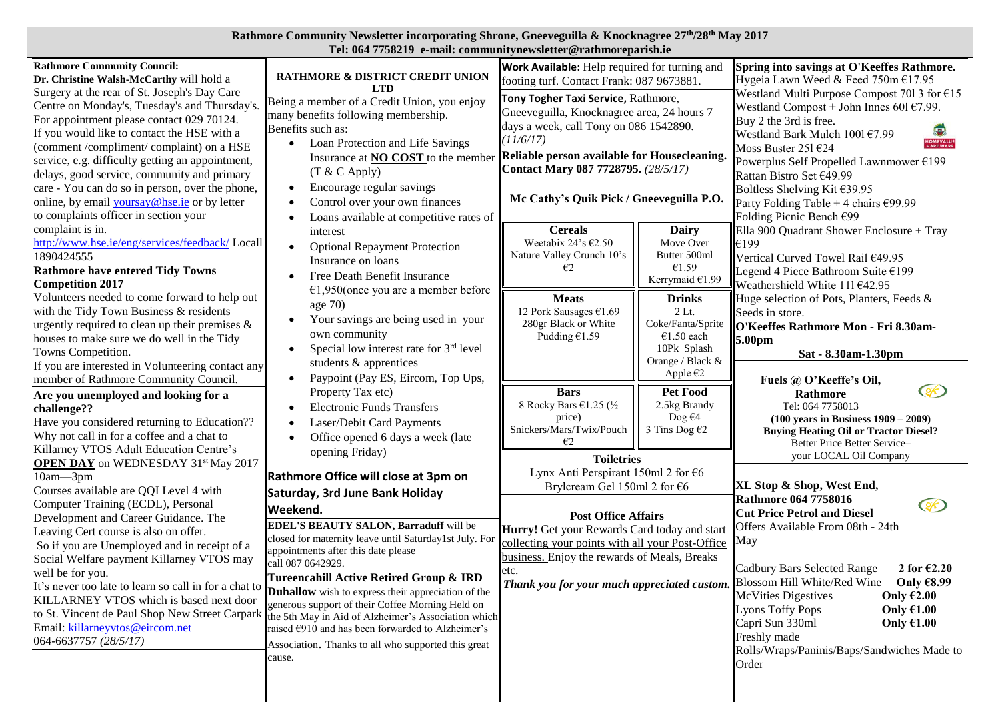| Rathmore Community Newsletter incorporating Shrone, Gneeveguilla & Knocknagree 27 <sup>th</sup> /28 <sup>th</sup> May 2017 |  |
|----------------------------------------------------------------------------------------------------------------------------|--|
| Tel: 064 7758219 e-mail: communitynewsletter@rathmoreparish.ie                                                             |  |

| <b>Rathmore Community Council:</b><br>Dr. Christine Walsh-McCarthy will hold a                                                                                                                                                                                                                                                                                                                                   | RATHMORE & DISTRICT CREDIT UNION<br><b>LTD</b>                                                                                                                                                                                                                                                                                                                                                                                                                                                                    | Work Available: Help required for turning and<br>footing turf. Contact Frank: 087 9673881.                                                                                             |                                                                                                | Spring into savings at O'Keeffes Rathmore.<br>Hygeia Lawn Weed & Feed 750m €17.95                                                                                                                                                                                                                                                                                                                                                  |
|------------------------------------------------------------------------------------------------------------------------------------------------------------------------------------------------------------------------------------------------------------------------------------------------------------------------------------------------------------------------------------------------------------------|-------------------------------------------------------------------------------------------------------------------------------------------------------------------------------------------------------------------------------------------------------------------------------------------------------------------------------------------------------------------------------------------------------------------------------------------------------------------------------------------------------------------|----------------------------------------------------------------------------------------------------------------------------------------------------------------------------------------|------------------------------------------------------------------------------------------------|------------------------------------------------------------------------------------------------------------------------------------------------------------------------------------------------------------------------------------------------------------------------------------------------------------------------------------------------------------------------------------------------------------------------------------|
| Surgery at the rear of St. Joseph's Day Care<br>Centre on Monday's, Tuesday's and Thursday's.<br>For appointment please contact 029 70124.<br>If you would like to contact the HSE with a<br>(comment /compliment/ complaint) on a HSE                                                                                                                                                                           | Being a member of a Credit Union, you enjoy<br>many benefits following membership.<br>Benefits such as:<br>Loan Protection and Life Savings                                                                                                                                                                                                                                                                                                                                                                       | Tony Togher Taxi Service, Rathmore,<br>Gneeveguilla, Knocknagree area, 24 hours 7<br>days a week, call Tony on 086 1542890.<br>(11/6/17)                                               |                                                                                                | Westland Multi Purpose Compost 701 3 for €15<br>Westland Compost + John Innes 601 $E$ 7.99.<br>Buy 2 the 3rd is free.<br>Westland Bark Mulch 1001 €7.99<br>Moss Buster 251 $E$ 24<br>Powerplus Self Propelled Lawnmower €199<br>Rattan Bistro Set €49.99                                                                                                                                                                           |
| service, e.g. difficulty getting an appointment,<br>delays, good service, community and primary                                                                                                                                                                                                                                                                                                                  | Insurance at <b>NO COST</b> to the member<br>$(T & C$ Apply)                                                                                                                                                                                                                                                                                                                                                                                                                                                      | Reliable person available for Housecleaning.<br>Contact Mary 087 7728795. (28/5/17)                                                                                                    |                                                                                                |                                                                                                                                                                                                                                                                                                                                                                                                                                    |
| care - You can do so in person, over the phone,<br>online, by email yoursay@hse.ie or by letter<br>to complaints officer in section your                                                                                                                                                                                                                                                                         | Encourage regular savings<br>$\bullet$<br>Control over your own finances<br>$\bullet$<br>Loans available at competitive rates of                                                                                                                                                                                                                                                                                                                                                                                  | Mc Cathy's Quik Pick / Gneeveguilla P.O.                                                                                                                                               |                                                                                                | Boltless Shelving Kit €39.95<br>Party Folding Table + 4 chairs $€99.99$<br>Folding Picnic Bench €99                                                                                                                                                                                                                                                                                                                                |
| complaint is in.<br>http://www.hse.ie/eng/services/feedback/ Locall<br>1890424555<br><b>Rathmore have entered Tidy Towns</b><br><b>Competition 2017</b>                                                                                                                                                                                                                                                          | interest<br><b>Optional Repayment Protection</b><br>Insurance on loans<br>Free Death Benefit Insurance                                                                                                                                                                                                                                                                                                                                                                                                            | <b>Cereals</b><br>Weetabix 24's $€2.50$<br>Nature Valley Crunch 10's<br>€2                                                                                                             | Dairy<br>Move Over<br>Butter 500ml<br>€1.59<br>Kerrymaid €1.99                                 | Ella 900 Quadrant Shower Enclosure + Tray<br>€199<br>Vertical Curved Towel Rail €49.95<br>Legend 4 Piece Bathroom Suite €199<br>Weathershield White 111 €42.95                                                                                                                                                                                                                                                                     |
| Volunteers needed to come forward to help out<br>with the Tidy Town Business & residents<br>urgently required to clean up their premises $\&$<br>houses to make sure we do well in the Tidy<br>Towns Competition.                                                                                                                                                                                                | €1,950(once you are a member before<br>age $70$<br>Your savings are being used in your<br>own community<br>Special low interest rate for 3rd level<br>students & apprentices                                                                                                                                                                                                                                                                                                                                      | <b>Meats</b><br>12 Pork Sausages €1.69<br>280gr Black or White<br>Pudding $£1.59$                                                                                                      | <b>Drinks</b><br>$2$ Lt.<br>Coke/Fanta/Sprite<br>€1.50 each<br>10Pk Splash<br>Orange / Black & | Huge selection of Pots, Planters, Feeds &<br>Seeds in store.<br>O'Keeffes Rathmore Mon - Fri 8.30am-<br>5.00pm<br>Sat - 8.30am-1.30pm                                                                                                                                                                                                                                                                                              |
| If you are interested in Volunteering contact any<br>member of Rathmore Community Council.<br>Are you unemployed and looking for a<br>challenge??<br>Have you considered returning to Education??<br>Why not call in for a coffee and a chat to<br>Killarney VTOS Adult Education Centre's                                                                                                                       | Paypoint (Pay ES, Eircom, Top Ups,<br>$\bullet$<br>Property Tax etc)<br><b>Electronic Funds Transfers</b><br>Laser/Debit Card Payments<br>Office opened 6 days a week (late<br>opening Friday)                                                                                                                                                                                                                                                                                                                    | <b>Bars</b><br>8 Rocky Bars €1.25 (1/2)<br>price)<br>Snickers/Mars/Twix/Pouch<br>€2<br><b>Toiletries</b>                                                                               | Apple $\epsilon$ 2<br>Pet Food<br>2.5kg Brandy<br>Dog $\epsilon$ 4<br>3 Tins Dog $62$          | Fuels @ O'Keeffe's Oil,<br>$\left( \frac{1}{2} \right)$<br>Rathmore<br>Tel: 064 7758013<br>$(100 \text{ years in Business } 1909 - 2009)$<br><b>Buying Heating Oil or Tractor Diesel?</b><br>Better Price Better Service-<br>your LOCAL Oil Company                                                                                                                                                                                |
| <b>OPEN DAY</b> on WEDNESDAY 31 <sup>st</sup> May 2017<br>10am-3pm<br>Courses available are QQI Level 4 with<br>Computer Training (ECDL), Personal                                                                                                                                                                                                                                                               | Rathmore Office will close at 3pm on<br>Saturday, 3rd June Bank Holiday                                                                                                                                                                                                                                                                                                                                                                                                                                           | Lynx Anti Perspirant 150ml 2 for €6<br>Brylcream Gel 150ml 2 for €6                                                                                                                    |                                                                                                | XL Stop & Shop, West End,<br><b>Rathmore 064 7758016</b><br><b>CO</b>                                                                                                                                                                                                                                                                                                                                                              |
| Development and Career Guidance. The<br>Leaving Cert course is also on offer.<br>So if you are Unemployed and in receipt of a<br>Social Welfare payment Killarney VTOS may<br>well be for you.<br>It's never too late to learn so call in for a chat to<br>KILLARNEY VTOS which is based next door<br>to St. Vincent de Paul Shop New Street Carpark<br>Email: killarneyvtos@eircom.net<br>064-6637757 (28/5/17) | Weekend.<br>EDEL'S BEAUTY SALON, Barraduff will be<br>closed for maternity leave until Saturday1st July. For<br>appointments after this date please<br>call 087 0642929.<br>Tureencahill Active Retired Group & IRD<br><b>Duhallow</b> wish to express their appreciation of the<br>generous support of their Coffee Morning Held on<br>the 5th May in Aid of Alzheimer's Association which<br>raised €910 and has been forwarded to Alzheimer's<br>Association. Thanks to all who supported this great<br>cause. | <b>Post Office Affairs</b><br>Hurry! Get your Rewards Card today and start<br>collecting your points with all your Post-Office<br>business. Enjoy the rewards of Meals, Breaks<br>etc. |                                                                                                | <b>Cut Price Petrol and Diesel</b><br>Offers Available From 08th - 24th<br>May<br><b>Cadbury Bars Selected Range</b><br>2 for $E2.20$<br>Thank you for your much appreciated custom. Blossom Hill White/Red Wine<br>Only €8.99<br><b>McVities Digestives</b><br>Only $£2.00$<br><b>Lyons Toffy Pops</b><br>Only $£1.00$<br>Capri Sun 330ml<br>Only $£1.00$<br>Freshly made<br>Rolls/Wraps/Paninis/Baps/Sandwiches Made to<br>Order |